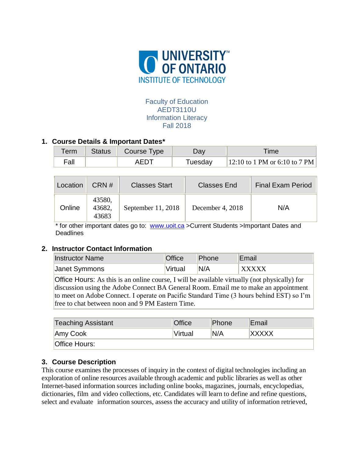

# Faculty of Education AEDT3110U Information Literacy Fall 2018

# **1. Course Details & Important Dates\***

| $\tau$ erm | <b>Status</b> | Course Type | ש2α     | <b>Time</b>                   |
|------------|---------------|-------------|---------|-------------------------------|
| Fall       |               | AEDT        | Tuesday | 12:10 to 1 PM or 6:10 to 7 PM |

| Location | CRN#                      | <b>Classes Start</b> | <b>Classes End</b> | <b>Final Exam Period</b> |
|----------|---------------------------|----------------------|--------------------|--------------------------|
| Online   | 43580,<br>43682,<br>43683 | September $11, 2018$ | December 4, 2018   | N/A                      |

\* for other important dates go to: [www.uoit.ca](http://www.uoit.ca/) >Current Students >Important Dates and **Deadlines** 

## **2. Instructor Contact Information**

| <b>Instructor Name</b> | <b>Office</b> | Phone | Email        |
|------------------------|---------------|-------|--------------|
| Janet Symmons          | Virtual       | N/A   | <b>XXXXX</b> |

Office Hours: As this is an online course, I will be available virtually (not physically) for discussion using the Adobe Connect BA General Room. Email me to make an appointment to meet on Adobe Connect. I operate on Pacific Standard Time (3 hours behind EST) so I'm free to chat between noon and 9 PM Eastern Time.

| <b>Teaching Assistant</b> | <b>Office</b> | Phone | Email        |  |
|---------------------------|---------------|-------|--------------|--|
| Amy Cook                  | Virtual       | 'N/A  | <b>XXXXX</b> |  |
| <b>Office Hours:</b>      |               |       |              |  |

# **3. Course Description**

This course examines the processes of inquiry in the context of digital technologies including an exploration of online resources available through academic and public libraries as well as other Internet-based information sources including online books, magazines, journals, encyclopedias, dictionaries, film and video collections, etc. Candidates will learn to define and refine questions, select and evaluate information sources, assess the accuracy and utility of information retrieved,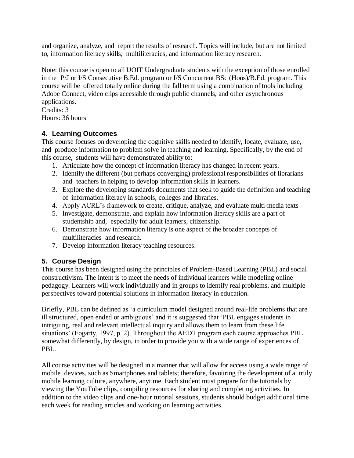and organize, analyze, and report the results of research. Topics will include, but are not limited to, information literacy skills, multiliteracies, and information literacy research.

Note: this course is open to all UOIT Undergraduate students with the exception of those enrolled in the P/J or I/S Consecutive B.Ed. program or I/S Concurrent BSc (Hons)/B.Ed. program. This course will be offered totally online during the fall term using a combination of tools including Adobe Connect, video clips accessible through public channels, and other asynchronous applications.

Credits: 3 Hours: 36 hours

# **4. Learning Outcomes**

This course focuses on developing the cognitive skills needed to identify, locate, evaluate, use, and produce information to problem solve in teaching and learning. Specifically, by the end of this course, students will have demonstrated ability to:

- 1. Articulate how the concept of information literacy has changed in recent years.
- 2. Identify the different (but perhaps converging) professional responsibilities of librarians and teachers in helping to develop information skills in learners.
- 3. Explore the developing standards documents that seek to guide the definition and teaching of information literacy in schools, colleges and libraries.
- 4. Apply ACRL's framework to create, critique, analyze, and evaluate multi-media texts
- 5. Investigate, demonstrate, and explain how information literacy skills are a part of studentship and, especially for adult learners, citizenship.
- 6. Demonstrate how information literacy is one aspect of the broader concepts of multiliteracies and research.
- 7. Develop information literacy teaching resources.

# **5. Course Design**

This course has been designed using the principles of Problem-Based Learning (PBL) and social constructivism. The intent is to meet the needs of individual learners while modeling online pedagogy. Learners will work individually and in groups to identify real problems, and multiple perspectives toward potential solutions in information literacy in education.

Briefly, PBL can be defined as 'a curriculum model designed around real-life problems that are ill structured, open ended or ambiguous' and it is suggested that 'PBL engages students in intriguing, real and relevant intellectual inquiry and allows them to learn from these life situations' (Fogarty, 1997, p. 2). Throughout the AEDT program each course approaches PBL somewhat differently, by design, in order to provide you with a wide range of experiences of PBL.

All course activities will be designed in a manner that will allow for access using a wide range of mobile devices, such as Smartphones and tablets; therefore, favouring the development of a truly mobile learning culture, anywhere, anytime. Each student must prepare for the tutorials by viewing the YouTube clips, compiling resources for sharing and completing activities. In addition to the video clips and one-hour tutorial sessions, students should budget additional time each week for reading articles and working on learning activities.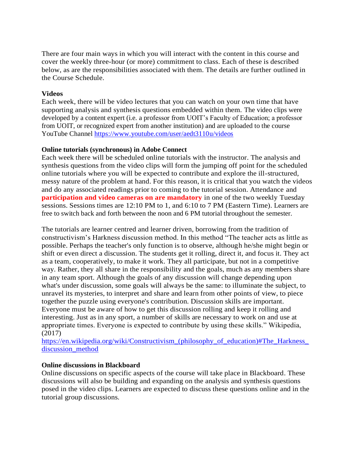There are four main ways in which you will interact with the content in this course and cover the weekly three-hour (or more) commitment to class. Each of these is described below, as are the responsibilities associated with them. The details are further outlined in the Course Schedule.

### **Videos**

Each week, there will be video lectures that you can watch on your own time that have supporting analysis and synthesis questions embedded within them. The video clips were developed by a content expert (i.e. a professor from UOIT's Faculty of Education; a professor from UOIT, or recognized expert from another institution) and are uploaded to the course YouTube Channel<https://www.youtube.com/user/aedt3110u/videos>

#### **Online tutorials (synchronous) in Adobe Connect**

Each week there will be scheduled online tutorials with the instructor. The analysis and synthesis questions from the video clips will form the jumping off point for the scheduled online tutorials where you will be expected to contribute and explore the ill-structured, messy nature of the problem at hand. For this reason, it is critical that you watch the videos and do any associated readings prior to coming to the tutorial session. Attendance and **participation and video cameras on are mandatory** in one of the two weekly Tuesday sessions. Sessions times are 12:10 PM to 1, and 6:10 to 7 PM (Eastern Time). Learners are free to switch back and forth between the noon and 6 PM tutorial throughout the semester.

The tutorials are learner centred and learner driven, borrowing from the tradition of constructivism's Harkness discussion method. In this method "The teacher acts as little as possible. Perhaps the teacher's only function is to observe, although he/she might begin or shift or even direct a discussion. The students get it rolling, direct it, and focus it. They act as a team, cooperatively, to make it work. They all participate, but not in a competitive way. Rather, they all share in the responsibility and the goals, much as any members share in any team sport. Although the goals of any discussion will change depending upon what's under discussion, some goals will always be the same: to illuminate the subject, to unravel its mysteries, to interpret and share and learn from other points of view, to piece together the puzzle using everyone's contribution. Discussion skills are important. Everyone must be aware of how to get this discussion rolling and keep it rolling and interesting. Just as in any sport, a number of skills are necessary to work on and use at appropriate times. Everyone is expected to contribute by using these skills." Wikipedia, (2017)

https://en.wikipedia.org/wiki/Constructivism (philosophy of education)#The Harkness [discussion\\_method](https://en.wikipedia.org/wiki/Constructivism_(philosophy_of_education)#The_Harkness_discussion_method)

## **Online discussions in Blackboard**

Online discussions on specific aspects of the course will take place in Blackboard. These discussions will also be building and expanding on the analysis and synthesis questions posed in the video clips. Learners are expected to discuss these questions online and in the tutorial group discussions.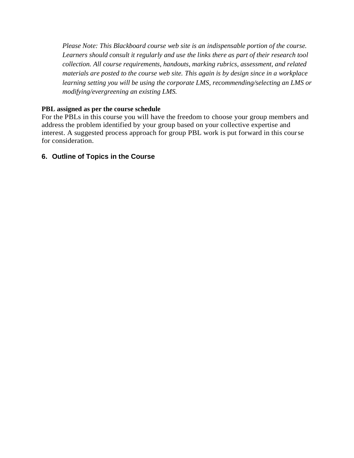*Please Note: This Blackboard course web site is an indispensable portion of the course. Learners should consult it regularly and use the links there as part of their research tool collection. All course requirements, handouts, marking rubrics, assessment, and related materials are posted to the course web site. This again is by design since in a workplace learning setting you will be using the corporate LMS, recommending/selecting an LMS or modifying/evergreening an existing LMS.*

## **PBL assigned as per the course schedule**

For the PBLs in this course you will have the freedom to choose your group members and address the problem identified by your group based on your collective expertise and interest. A suggested process approach for group PBL work is put forward in this course for consideration.

# **6. Outline of Topics in the Course**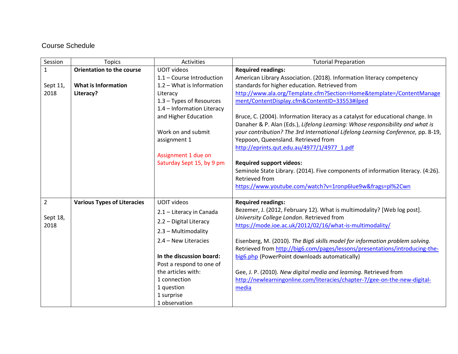# Course Schedule

| Session        | <b>Topics</b>                      | Activities                 | <b>Tutorial Preparation</b>                                                      |
|----------------|------------------------------------|----------------------------|----------------------------------------------------------------------------------|
| $\mathbf{1}$   | <b>Orientation to the course</b>   | <b>UOIT videos</b>         | <b>Required readings:</b>                                                        |
|                |                                    | 1.1 - Course Introduction  | American Library Association. (2018). Information literacy competency            |
| Sept 11,       | <b>What is Information</b>         | 1.2 - What is Information  | standards for higher education. Retrieved from                                   |
| 2018           | Literacy?                          | Literacy                   | http://www.ala.org/Template.cfm?Section=Home&template=/ContentManage             |
|                |                                    | 1.3 - Types of Resources   | ment/ContentDisplay.cfm&ContentID=33553#ilped                                    |
|                |                                    | 1.4 - Information Literacy |                                                                                  |
|                |                                    | and Higher Education       | Bruce, C. (2004). Information literacy as a catalyst for educational change. In  |
|                |                                    |                            | Danaher & P. Alan (Eds.), Lifelong Learning: Whose responsibility and what is    |
|                |                                    | Work on and submit         | your contribution? The 3rd International Lifelong Learning Conference, pp. 8-19, |
|                |                                    | assignment 1               | Yeppoon, Queensland. Retrieved from                                              |
|                |                                    |                            | http://eprints.qut.edu.au/4977/1/4977_1.pdf                                      |
|                |                                    | Assignment 1 due on        |                                                                                  |
|                |                                    | Saturday Sept 15, by 9 pm  | <b>Required support videos:</b>                                                  |
|                |                                    |                            | Seminole State Library. (2014). Five components of information literacy. (4:26). |
|                |                                    |                            | <b>Retrieved from</b>                                                            |
|                |                                    |                            | https://www.youtube.com/watch?v=1ronp6lue9w&frags=pl%2Cwn                        |
|                |                                    |                            |                                                                                  |
| $\overline{2}$ | <b>Various Types of Literacies</b> | <b>UOIT videos</b>         | <b>Required readings:</b>                                                        |
|                |                                    | 2.1 - Literacy in Canada   | Bezemer, J. (2012, February 12). What is multimodality? [Web log post].          |
| Sept 18,       |                                    | 2.2 - Digital Literacy     | University College London. Retrieved from                                        |
| 2018           |                                    | 2.3 - Multimodality        | https://mode.ioe.ac.uk/2012/02/16/what-is-multimodality/                         |
|                |                                    |                            |                                                                                  |
|                |                                    | 2.4 - New Literacies       | Eisenberg, M. (2010). The Big6 skills model for information problem solving.     |
|                |                                    |                            | Retrieved from http://big6.com/pages/lessons/presentations/introducing-the-      |
|                |                                    | In the discussion board:   | big6.php (PowerPoint downloads automatically)                                    |
|                |                                    | Post a respond to one of   |                                                                                  |
|                |                                    | the articles with:         | Gee, J. P. (2010). New digital media and learning. Retrieved from                |
|                |                                    | 1 connection               | http://newlearningonline.com/literacies/chapter-7/gee-on-the-new-digital-        |
|                |                                    | 1 question                 | media                                                                            |
|                |                                    | 1 surprise                 |                                                                                  |
|                |                                    | 1 observation              |                                                                                  |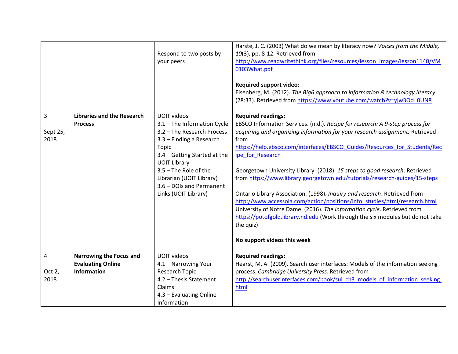|                       |                                                                           | Respond to two posts by<br>your peers                                                                                                                                                                                                                                                | Harste, J. C. (2003) What do we mean by literacy now? Voices from the Middle,<br>10(3), pp. 8-12. Retrieved from<br>http://www.readwritethink.org/files/resources/lesson images/lesson1140/VM<br>0103What.pdf<br><b>Required support video:</b><br>Eisenberg, M. (2012). The Big6 approach to information & technology literacy.<br>(28:33). Retrieved from https://www.youtube.com/watch?v=yjw3Od_0UN8                                                                                                                                                                                                                                                                                                                                                                                                                             |
|-----------------------|---------------------------------------------------------------------------|--------------------------------------------------------------------------------------------------------------------------------------------------------------------------------------------------------------------------------------------------------------------------------------|-------------------------------------------------------------------------------------------------------------------------------------------------------------------------------------------------------------------------------------------------------------------------------------------------------------------------------------------------------------------------------------------------------------------------------------------------------------------------------------------------------------------------------------------------------------------------------------------------------------------------------------------------------------------------------------------------------------------------------------------------------------------------------------------------------------------------------------|
| 3<br>Sept 25,<br>2018 | <b>Libraries and the Research</b><br><b>Process</b>                       | <b>UOIT videos</b><br>3.1 - The Information Cycle<br>3.2 - The Research Process<br>3.3 - Finding a Research<br>Topic<br>3.4 - Getting Started at the<br><b>UOIT Library</b><br>3.5 - The Role of the<br>Librarian (UOIT Library)<br>3.6 - DOIs and Permanent<br>Links (UOIT Library) | <b>Required readings:</b><br>EBSCO Information Services. (n.d.). Recipe for research: A 9-step process for<br>acquiring and organizing information for your research assignment. Retrieved<br>from<br>https://help.ebsco.com/interfaces/EBSCO_Guides/Resources_for_Students/Rec<br>ipe_for_Research<br>Georgetown University Library. (2018). 15 steps to good research. Retrieved<br>from https://www.library.georgetown.edu/tutorials/research-guides/15-steps<br>Ontario Library Association. (1998). Inquiry and research. Retrieved from<br>http://www.accessola.com/action/positions/info studies/html/research.html<br>University of Notre Dame. (2016). The information cycle. Retrieved from<br>https://potofgold.library.nd.edu (Work through the six modules but do not take<br>the quiz)<br>No support videos this week |
| 4<br>Oct 2,<br>2018   | Narrowing the Focus and<br><b>Evaluating Online</b><br><b>Information</b> | <b>UOIT videos</b><br>4.1 - Narrowing Your<br>Research Topic<br>4.2 - Thesis Statement<br>Claims<br>4.3 - Evaluating Online<br>Information                                                                                                                                           | <b>Required readings:</b><br>Hearst, M. A. (2009). Search user interfaces: Models of the information seeking<br>process. Cambridge University Press. Retrieved from<br>http://searchuserinterfaces.com/book/sui ch3 models of information seeking.<br>html                                                                                                                                                                                                                                                                                                                                                                                                                                                                                                                                                                          |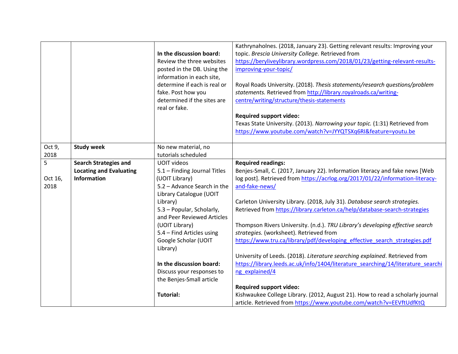|                |                                | In the discussion board:<br>Review the three websites<br>posted in the DB. Using the<br>information in each site,<br>determine if each is real or<br>fake. Post how you<br>determined if the sites are<br>real or fake. | Kathrynaholnes. (2018, January 23). Getting relevant results: Improving your<br>topic. Brescia University College. Retrieved from<br>https://beryliveylibrary.wordpress.com/2018/01/23/getting-relevant-results-<br>improving-your-topic/<br>Royal Roads University. (2018). Thesis statements/research questions/problem<br>statements. Retrieved from http://library.royalroads.ca/writing-<br>centre/writing/structure/thesis-statements<br><b>Required support video:</b><br>Texas State University. (2013). Narrowing your topic. (1:31) Retrieved from<br>https://www.youtube.com/watch?v=JYYQTSXq6RI&feature=youtu.be |
|----------------|--------------------------------|-------------------------------------------------------------------------------------------------------------------------------------------------------------------------------------------------------------------------|------------------------------------------------------------------------------------------------------------------------------------------------------------------------------------------------------------------------------------------------------------------------------------------------------------------------------------------------------------------------------------------------------------------------------------------------------------------------------------------------------------------------------------------------------------------------------------------------------------------------------|
| Oct 9,<br>2018 | <b>Study week</b>              | No new material, no<br>tutorials scheduled                                                                                                                                                                              |                                                                                                                                                                                                                                                                                                                                                                                                                                                                                                                                                                                                                              |
| 5              | <b>Search Strategies and</b>   | <b>UOIT videos</b>                                                                                                                                                                                                      | <b>Required readings:</b>                                                                                                                                                                                                                                                                                                                                                                                                                                                                                                                                                                                                    |
|                | <b>Locating and Evaluating</b> | 5.1 - Finding Journal Titles                                                                                                                                                                                            | Benjes-Small, C. (2017, January 22). Information literacy and fake news [Web                                                                                                                                                                                                                                                                                                                                                                                                                                                                                                                                                 |
| Oct 16,        | <b>Information</b>             | (UOIT Library)                                                                                                                                                                                                          | log post]. Retrieved from https://acrlog.org/2017/01/22/information-literacy-                                                                                                                                                                                                                                                                                                                                                                                                                                                                                                                                                |
| 2018           |                                | 5.2 - Advance Search in the                                                                                                                                                                                             | and-fake-news/                                                                                                                                                                                                                                                                                                                                                                                                                                                                                                                                                                                                               |
|                |                                | Library Catalogue (UOIT                                                                                                                                                                                                 |                                                                                                                                                                                                                                                                                                                                                                                                                                                                                                                                                                                                                              |
|                |                                | Library)                                                                                                                                                                                                                | Carleton University Library. (2018, July 31). Database search strategies.                                                                                                                                                                                                                                                                                                                                                                                                                                                                                                                                                    |
|                |                                | 5.3 - Popular, Scholarly,<br>and Peer Reviewed Articles                                                                                                                                                                 | Retrieved from https://library.carleton.ca/help/database-search-strategies                                                                                                                                                                                                                                                                                                                                                                                                                                                                                                                                                   |
|                |                                | (UOIT Library)                                                                                                                                                                                                          | Thompson Rivers University. (n.d.). TRU Library's developing effective search                                                                                                                                                                                                                                                                                                                                                                                                                                                                                                                                                |
|                |                                | 5.4 - Find Articles using                                                                                                                                                                                               | strategies. (worksheet). Retrieved from                                                                                                                                                                                                                                                                                                                                                                                                                                                                                                                                                                                      |
|                |                                | Google Scholar (UOIT                                                                                                                                                                                                    | https://www.tru.ca/library/pdf/developing effective search strategies.pdf                                                                                                                                                                                                                                                                                                                                                                                                                                                                                                                                                    |
|                |                                | Library)                                                                                                                                                                                                                |                                                                                                                                                                                                                                                                                                                                                                                                                                                                                                                                                                                                                              |
|                |                                |                                                                                                                                                                                                                         | University of Leeds. (2018). Literature searching explained. Retrieved from                                                                                                                                                                                                                                                                                                                                                                                                                                                                                                                                                  |
|                |                                | In the discussion board:                                                                                                                                                                                                | https://library.leeds.ac.uk/info/1404/literature searching/14/literature searchi                                                                                                                                                                                                                                                                                                                                                                                                                                                                                                                                             |
|                |                                | Discuss your responses to                                                                                                                                                                                               | ng explained/4                                                                                                                                                                                                                                                                                                                                                                                                                                                                                                                                                                                                               |
|                |                                | the Benjes-Small article                                                                                                                                                                                                |                                                                                                                                                                                                                                                                                                                                                                                                                                                                                                                                                                                                                              |
|                |                                |                                                                                                                                                                                                                         | <b>Required support video:</b>                                                                                                                                                                                                                                                                                                                                                                                                                                                                                                                                                                                               |
|                |                                | <b>Tutorial:</b>                                                                                                                                                                                                        | Kishwaukee College Library. (2012, August 21). How to read a scholarly journal                                                                                                                                                                                                                                                                                                                                                                                                                                                                                                                                               |
|                |                                |                                                                                                                                                                                                                         | article. Retrieved from https://www.youtube.com/watch?v=EEVftUdfKtQ                                                                                                                                                                                                                                                                                                                                                                                                                                                                                                                                                          |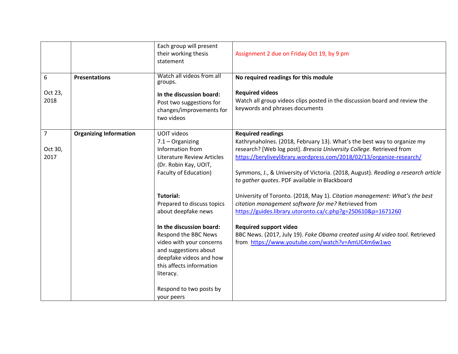|                                   |                               | Each group will present<br>their working thesis<br>statement                                                                                                                                                                                                                                | Assignment 2 due on Friday Oct 19, by 9 pm                                                                                                                                                                                                                                                                                                                                                |
|-----------------------------------|-------------------------------|---------------------------------------------------------------------------------------------------------------------------------------------------------------------------------------------------------------------------------------------------------------------------------------------|-------------------------------------------------------------------------------------------------------------------------------------------------------------------------------------------------------------------------------------------------------------------------------------------------------------------------------------------------------------------------------------------|
| 6<br>Oct 23,<br>2018              | <b>Presentations</b>          | Watch all videos from all<br>groups.<br>In the discussion board:<br>Post two suggestions for<br>changes/improvements for<br>two videos                                                                                                                                                      | No required readings for this module<br><b>Required videos</b><br>Watch all group videos clips posted in the discussion board and review the<br>keywords and phrases documents                                                                                                                                                                                                            |
| $\overline{7}$<br>Oct 30,<br>2017 | <b>Organizing Information</b> | <b>UOIT videos</b><br>$7.1 - Organizing$<br>Information from<br><b>Literature Review Articles</b><br>(Dr. Robin Kay, UOIT,<br>Faculty of Education)                                                                                                                                         | <b>Required readings</b><br>Kathrynaholnes. (2018, February 13). What's the best way to organize my<br>research? [Web log post]. Brescia University College. Retrieved from<br>https://beryliveylibrary.wordpress.com/2018/02/13/organize-research/<br>Symmons, J., & University of Victoria. (2018, August). Reading a research article<br>to gather quotes. PDF available in Blackboard |
|                                   |                               | <b>Tutorial:</b><br>Prepared to discuss topics<br>about deepfake news<br>In the discussion board:<br>Respond the BBC News<br>video with your concerns<br>and suggestions about<br>deepfake videos and how<br>this affects information<br>literacy.<br>Respond to two posts by<br>your peers | University of Toronto. (2018, May 1). Citation management: What's the best<br>citation management software for me? Retrieved from<br>https://guides.library.utoronto.ca/c.php?g=250610&p=1671260<br><b>Required support video</b><br>BBC News. (2017, July 19). Fake Obama created using AI video tool. Retrieved<br>from https://www.youtube.com/watch?v=AmUC4m6w1wo                     |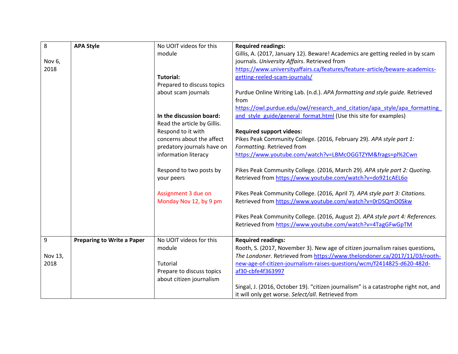| 8       | <b>APA Style</b>                  | No UOIT videos for this     | <b>Required readings:</b>                                                           |
|---------|-----------------------------------|-----------------------------|-------------------------------------------------------------------------------------|
|         |                                   | module                      | Gillis, A. (2017, January 12). Beware! Academics are getting reeled in by scam      |
| Nov 6,  |                                   |                             | journals. University Affairs. Retrieved from                                        |
| 2018    |                                   |                             | https://www.universityaffairs.ca/features/feature-article/beware-academics-         |
|         |                                   | Tutorial:                   | getting-reeled-scam-journals/                                                       |
|         |                                   | Prepared to discuss topics  |                                                                                     |
|         |                                   | about scam journals         | Purdue Online Writing Lab. (n.d.). APA formatting and style guide. Retrieved        |
|         |                                   |                             | from                                                                                |
|         |                                   |                             | https://owl.purdue.edu/owl/research and citation/apa style/apa formatting           |
|         |                                   | In the discussion board:    | and style guide/general format.html (Use this site for examples)                    |
|         |                                   | Read the article by Gillis. |                                                                                     |
|         |                                   | Respond to it with          | <b>Required support videos:</b>                                                     |
|         |                                   | concerns about the affect   | Pikes Peak Community College. (2016, February 29). APA style part 1:                |
|         |                                   | predatory journals have on  | Formatting. Retrieved from                                                          |
|         |                                   | information literacy        | https://www.youtube.com/watch?v=LBMcOGGTZYM&frags=pl%2Cwn                           |
|         |                                   |                             |                                                                                     |
|         |                                   | Respond to two posts by     | Pikes Peak Community College. (2016, March 29). APA style part 2: Quoting.          |
|         |                                   | your peers                  | Retrieved from https://www.youtube.com/watch?v=do921cAEL6o                          |
|         |                                   | Assignment 3 due on         | Pikes Peak Community College. (2016, April 7). APA style part 3: Citations.         |
|         |                                   | Monday Nov 12, by 9 pm      | Retrieved from https://www.youtube.com/watch?v=0rDSQmO0Skw                          |
|         |                                   |                             |                                                                                     |
|         |                                   |                             | Pikes Peak Community College. (2016, August 2). APA style part 4: References.       |
|         |                                   |                             | Retrieved from https://www.youtube.com/watch?v=4TagGFwGpTM                          |
| 9       | <b>Preparing to Write a Paper</b> | No UOIT videos for this     | <b>Required readings:</b>                                                           |
|         |                                   | module                      | Rooth, S. (2017, November 3). New age of citizen journalism raises questions,       |
| Nov 13, |                                   |                             | The Londoner. Retrieved from https://www.thelondoner.ca/2017/11/03/rooth-           |
| 2018    |                                   | Tutorial                    | new-age-of-citizen-journalism-raises-questions/wcm/f2414825-d620-482d-              |
|         |                                   | Prepare to discuss topics   | af30-cbfe4f363997                                                                   |
|         |                                   | about citizen journalism    |                                                                                     |
|         |                                   |                             | Singal, J. (2016, October 19). "citizen journalism" is a catastrophe right not, and |
|         |                                   |                             | it will only get worse. Select/all. Retrieved from                                  |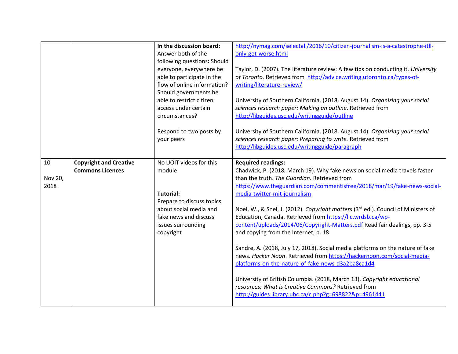|                       |                                                          | In the discussion board:<br>Answer both of the<br>following questions: Should<br>everyone, everywhere be<br>able to participate in the<br>flow of online information?<br>Should governments be<br>able to restrict citizen<br>access under certain<br>circumstances? | http://nymag.com/selectall/2016/10/citizen-journalism-is-a-catastrophe-itll-<br>only-get-worse.html<br>Taylor, D. (2007). The literature review: A few tips on conducting it. University<br>of Toronto. Retrieved from http://advice.writing.utoronto.ca/types-of-<br>writing/literature-review/<br>University of Southern California. (2018, August 14). Organizing your social<br>sciences research paper: Making an outline. Retrieved from<br>http://libguides.usc.edu/writingguide/outline                                                                                                                                                                                                                                                                                                                                                                                                                                                         |
|-----------------------|----------------------------------------------------------|----------------------------------------------------------------------------------------------------------------------------------------------------------------------------------------------------------------------------------------------------------------------|---------------------------------------------------------------------------------------------------------------------------------------------------------------------------------------------------------------------------------------------------------------------------------------------------------------------------------------------------------------------------------------------------------------------------------------------------------------------------------------------------------------------------------------------------------------------------------------------------------------------------------------------------------------------------------------------------------------------------------------------------------------------------------------------------------------------------------------------------------------------------------------------------------------------------------------------------------|
|                       |                                                          | Respond to two posts by<br>your peers                                                                                                                                                                                                                                | University of Southern California. (2018, August 14). Organizing your social<br>sciences research paper: Preparing to write. Retrieved from<br>http://libguides.usc.edu/writingguide/paragraph                                                                                                                                                                                                                                                                                                                                                                                                                                                                                                                                                                                                                                                                                                                                                          |
| 10<br>Nov 20,<br>2018 | <b>Copyright and Creative</b><br><b>Commons Licences</b> | No UOIT videos for this<br>module<br><b>Tutorial:</b><br>Prepare to discuss topics<br>about social media and<br>fake news and discuss<br>issues surrounding<br>copyright                                                                                             | <b>Required readings:</b><br>Chadwick, P. (2018, March 19). Why fake news on social media travels faster<br>than the truth. The Guardian. Retrieved from<br>https://www.theguardian.com/commentisfree/2018/mar/19/fake-news-social-<br>media-twitter-mit-journalism<br>Noel, W., & Snel, J. (2012). Copyright matters (3rd ed.). Council of Ministers of<br>Education, Canada. Retrieved from https://llc.wrdsb.ca/wp-<br>content/uploads/2014/06/Copyright-Matters.pdf Read fair dealings, pp. 3-5<br>and copying from the Internet, p. 18<br>Sandre, A. (2018, July 17, 2018). Social media platforms on the nature of fake<br>news. Hacker Noon. Retrieved from https://hackernoon.com/social-media-<br>platforms-on-the-nature-of-fake-news-d3a2ba8ca1d4<br>University of British Columbia. (2018, March 13). Copyright educational<br>resources: What is Creative Commons? Retrieved from<br>http://guides.library.ubc.ca/c.php?g=698822&p=4961441 |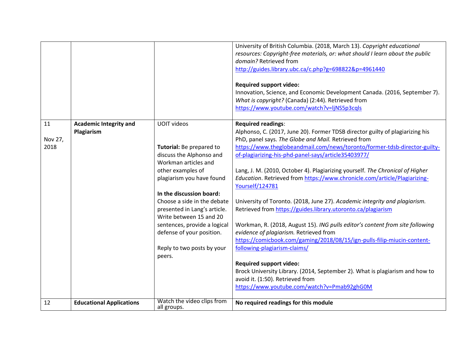|                       |                                             |                                                                                                                                                                                                                                                                                                                                                                                 | University of British Columbia. (2018, March 13). Copyright educational<br>resources: Copyright-free materials, or: what should I learn about the public<br>domain? Retrieved from<br>http://guides.library.ubc.ca/c.php?g=698822&p=4961440<br><b>Required support video:</b><br>Innovation, Science, and Economic Development Canada. (2016, September 7).                                                                                                                                                                                                                                                                                                                                                                                                                                                                                                                                                                                                                                                                                                              |
|-----------------------|---------------------------------------------|---------------------------------------------------------------------------------------------------------------------------------------------------------------------------------------------------------------------------------------------------------------------------------------------------------------------------------------------------------------------------------|--------------------------------------------------------------------------------------------------------------------------------------------------------------------------------------------------------------------------------------------------------------------------------------------------------------------------------------------------------------------------------------------------------------------------------------------------------------------------------------------------------------------------------------------------------------------------------------------------------------------------------------------------------------------------------------------------------------------------------------------------------------------------------------------------------------------------------------------------------------------------------------------------------------------------------------------------------------------------------------------------------------------------------------------------------------------------|
|                       |                                             |                                                                                                                                                                                                                                                                                                                                                                                 | What is copyright? (Canada) (2:44). Retrieved from<br>https://www.youtube.com/watch?v=ljNS5p3cqls                                                                                                                                                                                                                                                                                                                                                                                                                                                                                                                                                                                                                                                                                                                                                                                                                                                                                                                                                                        |
| 11<br>Nov 27,<br>2018 | <b>Academic Integrity and</b><br>Plagiarism | <b>UOIT videos</b><br>Tutorial: Be prepared to<br>discuss the Alphonso and<br>Workman articles and<br>other examples of<br>plagiarism you have found<br>In the discussion board:<br>Choose a side in the debate<br>presented in Lang's article.<br>Write between 15 and 20<br>sentences, provide a logical<br>defense of your position.<br>Reply to two posts by your<br>peers. | Required readings:<br>Alphonso, C. (2017, June 20). Former TDSB director guilty of plagiarizing his<br>PhD, panel says. The Globe and Mail. Retrieved from<br>https://www.theglobeandmail.com/news/toronto/former-tdsb-director-guilty-<br>of-plagiarizing-his-phd-panel-says/article35403977/<br>Lang, J. M. (2010, October 4). Plagiarizing yourself. The Chronical of Higher<br>Education. Retrieved from https://www.chronicle.com/article/Plagiarizing-<br>Yourself/124781<br>University of Toronto. (2018, June 27). Academic integrity and plagiarism.<br>Retrieved from https://guides.library.utoronto.ca/plagiarism<br>Workman, R. (2018, August 15). ING pulls editor's content from site following<br>evidence of plagiarism. Retrieved from<br>https://comicbook.com/gaming/2018/08/15/ign-pulls-filip-miucin-content-<br>following-plagiarism-claims/<br><b>Required support video:</b><br>Brock University Library. (2014, September 2). What is plagiarism and how to<br>avoid it. (1:50). Retrieved from<br>https://www.youtube.com/watch?v=Pmab92ghG0M |
| 12                    | <b>Educational Applications</b>             | Watch the video clips from<br>all groups.                                                                                                                                                                                                                                                                                                                                       | No required readings for this module                                                                                                                                                                                                                                                                                                                                                                                                                                                                                                                                                                                                                                                                                                                                                                                                                                                                                                                                                                                                                                     |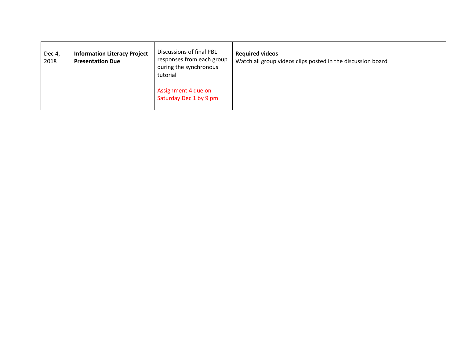| Dec 4,<br>2018 | <b>Information Literacy Project</b><br><b>Presentation Due</b> | Discussions of final PBL<br>responses from each group<br>during the synchronous<br>tutorial | <b>Required videos</b><br>Watch all group videos clips posted in the discussion board |
|----------------|----------------------------------------------------------------|---------------------------------------------------------------------------------------------|---------------------------------------------------------------------------------------|
|                |                                                                | Assignment 4 due on<br>Saturday Dec 1 by 9 pm                                               |                                                                                       |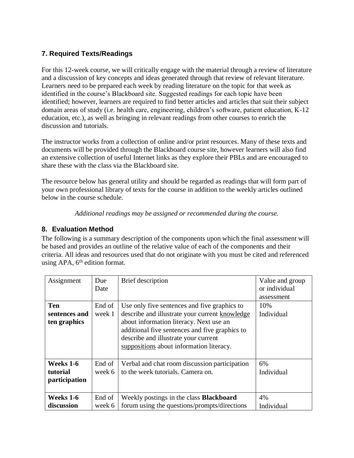# **7. Required Texts/Readings**

For this 12-week course, we will critically engage with the material through a review of literature and a discussion of key concepts and ideas generated through that review of relevant literature. Learners need to be prepared each week by reading literature on the topic for that week as identified in the course's Blackboard site. Suggested readings for each topic have been identified; however, learners are required to find better articles and articles that suit their subject domain areas of study (i.e. health care, engineering, children's software, patient education, K-12 education, etc.), as well as bringing in relevant readings from other courses to enrich the discussion and tutorials.

The instructor works from a collection of online and/or print resources. Many of these texts and documents will be provided through the Blackboard course site, however learners will also find an extensive collection of useful Internet links as they explore their PBLs and are encouraged to share these with the class via the Blackboard site.

The resource below has general utility and should be regarded as readings that will form part of your own professional library of texts for the course in addition to the weekly articles outlined below in the course schedule.

*Additional readings may be assigned or recommended during the course.*

# **8. Evaluation Method**

The following is a summary description of the components upon which the final assessment will be based and provides an outline of the relative value of each of the components and their criteria. All ideas and resources used that do not originate with you must be cited and referenced using APA,  $6<sup>th</sup>$  edition format.

| Assignment                             | Due<br>Date                                                                                            | Brief description                                                                                                                                                                                                                                                               | Value and group<br>or individual<br>assessment |  |
|----------------------------------------|--------------------------------------------------------------------------------------------------------|---------------------------------------------------------------------------------------------------------------------------------------------------------------------------------------------------------------------------------------------------------------------------------|------------------------------------------------|--|
| Ten<br>sentences and<br>ten graphics   | End of<br>week 1                                                                                       | Use only five sentences and five graphics to<br>describe and illustrate your current knowledge<br>about information literacy. Next use an<br>additional five sentences and five graphics to<br>describe and illustrate your current<br>suppositions about information literacy. | 10%<br>Individual                              |  |
| Weeks 1-6<br>tutorial<br>participation | End of<br>Verbal and chat room discussion participation<br>to the week tutorials. Camera on.<br>week 6 |                                                                                                                                                                                                                                                                                 | 6%<br>Individual                               |  |
| Weeks 1-6<br>discussion                | End of<br>week 6                                                                                       | Weekly postings in the class <b>Blackboard</b><br>forum using the questions/prompts/directions                                                                                                                                                                                  | 4%<br>Individual                               |  |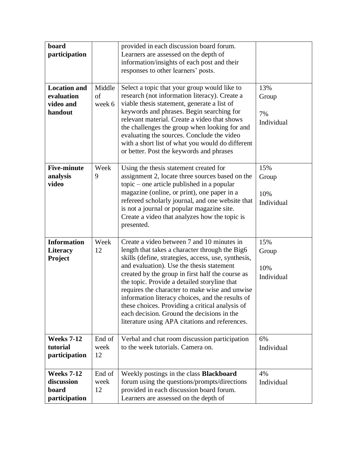| board<br>participation                                                                                      |                                                                                                                                                                                                                                                                                                                                                                                                                                                                    | provided in each discussion board forum.<br>Learners are assessed on the depth of<br>information/insights of each post and their<br>responses to other learners' posts.                                                                                                                                                                                                                                                                                                                                                                                       |                                   |  |
|-------------------------------------------------------------------------------------------------------------|--------------------------------------------------------------------------------------------------------------------------------------------------------------------------------------------------------------------------------------------------------------------------------------------------------------------------------------------------------------------------------------------------------------------------------------------------------------------|---------------------------------------------------------------------------------------------------------------------------------------------------------------------------------------------------------------------------------------------------------------------------------------------------------------------------------------------------------------------------------------------------------------------------------------------------------------------------------------------------------------------------------------------------------------|-----------------------------------|--|
| <b>Location and</b><br>evaluation<br>video and<br>handout                                                   | Middle<br>Select a topic that your group would like to<br>research (not information literacy). Create a<br>of<br>viable thesis statement, generate a list of<br>week 6<br>keywords and phrases. Begin searching for<br>relevant material. Create a video that shows<br>the challenges the group when looking for and<br>evaluating the sources. Conclude the video<br>with a short list of what you would do different<br>or better. Post the keywords and phrases |                                                                                                                                                                                                                                                                                                                                                                                                                                                                                                                                                               |                                   |  |
| <b>Five-minute</b><br>analysis<br>video                                                                     | Week<br>Using the thesis statement created for<br>9<br>assignment 2, locate three sources based on the<br>topic – one article published in a popular<br>magazine (online, or print), one paper in a<br>refereed scholarly journal, and one website that<br>is not a journal or popular magazine site.<br>Create a video that analyzes how the topic is<br>presented.                                                                                               |                                                                                                                                                                                                                                                                                                                                                                                                                                                                                                                                                               | 15%<br>Group<br>10%<br>Individual |  |
| <b>Information</b><br><b>Literacy</b><br><b>Project</b>                                                     | Week<br>12                                                                                                                                                                                                                                                                                                                                                                                                                                                         | Create a video between 7 and 10 minutes in<br>length that takes a character through the Big6<br>skills (define, strategies, access, use, synthesis,<br>and evaluation). Use the thesis statement<br>created by the group in first half the course as<br>the topic. Provide a detailed storyline that<br>requires the character to make wise and unwise<br>information literacy choices, and the results of<br>these choices. Providing a critical analysis of<br>each decision. Ground the decisions in the<br>literature using APA citations and references. | 15%<br>Group<br>10%<br>Individual |  |
| <b>Weeks 7-12</b><br>End of<br>tutorial<br>to the week tutorials. Camera on.<br>week<br>participation<br>12 |                                                                                                                                                                                                                                                                                                                                                                                                                                                                    | Verbal and chat room discussion participation                                                                                                                                                                                                                                                                                                                                                                                                                                                                                                                 | 6%<br>Individual                  |  |
| <b>Weeks 7-12</b><br>discussion<br>board<br>participation                                                   | End of<br>week<br>12                                                                                                                                                                                                                                                                                                                                                                                                                                               | Weekly postings in the class <b>Blackboard</b><br>forum using the questions/prompts/directions<br>provided in each discussion board forum.<br>Learners are assessed on the depth of                                                                                                                                                                                                                                                                                                                                                                           | 4%<br>Individual                  |  |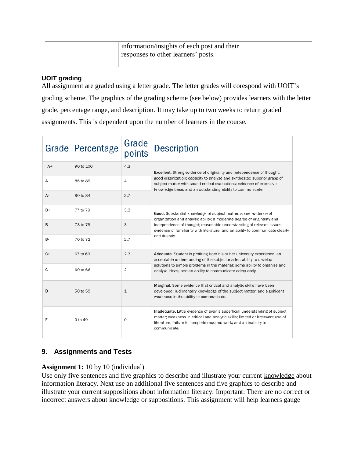|  | information/insights of each post and their<br>responses to other learners' posts. |  |
|--|------------------------------------------------------------------------------------|--|
|  |                                                                                    |  |

## **UOIT grading**

All assignment are graded using a letter grade. The letter grades will corespond with UOIT's grading scheme. The graphics of the grading scheme (see below) provides learners with the letter grade, percentage range, and description. It may take up to two weeks to return graded assignments. This is dependent upon the number of learners in the course.

|           | Grade Percentage | Grade<br>points | <b>Description</b>                                                                                                                                                                                                                                 |  |  |  |  |
|-----------|------------------|-----------------|----------------------------------------------------------------------------------------------------------------------------------------------------------------------------------------------------------------------------------------------------|--|--|--|--|
| $A+$      | 90 to 100        | 4.3             | Excellent. Strong evidence of originality and independence of thought;                                                                                                                                                                             |  |  |  |  |
| А         | 85 to 89         | 4               | good organization; capacity to analyze and synthesize; superior grasp of<br>subject matter with sound critical evaluations; evidence of extensive<br>knowledge base; and an outstanding ability to communicate.                                    |  |  |  |  |
| А-        | 80 to 84         | 3.7             |                                                                                                                                                                                                                                                    |  |  |  |  |
| B+        | 77 to 79         | 3.3             | Good. Substantial knowledge of subject matter; some evidence of<br>organization and analytic ability; a moderate degree of originality and                                                                                                         |  |  |  |  |
| B         | 73 to 76         | 3               | independence of thought; reasonable understanding of relevant issues;<br>evidence of familiarity with literature; and an ability to communicate clearly                                                                                            |  |  |  |  |
| <b>B-</b> | 70 to 72         | 2.7             | and fluently.                                                                                                                                                                                                                                      |  |  |  |  |
| $C+$      | 67 to 69         | 2.3             | Adequate. Student is profiting from his or her university experience; an<br>acceptable understanding of the subject matter; ability to develop                                                                                                     |  |  |  |  |
| c         | 60 to 66         | $\overline{2}$  | solutions to simple problems in the material; some ability to organize and<br>analyze ideas; and an ability to communicate adequately.                                                                                                             |  |  |  |  |
| D         | 50 to 59         | $\mathbf{1}$    | Marginal. Some evidence that critical and analytic skills have been<br>developed; rudimentary knowledge of the subject matter; and significant<br>weakness in the ability to communicate.                                                          |  |  |  |  |
| F         | $0$ to 49        | $\circ$         | Inadequate. Little evidence of even a superficial understanding of subject<br>matter; weakness in critical and analytic skills; limited or irrelevant use of<br>literature; failure to complete required work; and an inability to<br>communicate. |  |  |  |  |

# **9. Assignments and Tests**

## **Assignment 1:** 10 by 10 (individual)

Use only five sentences and five graphics to describe and illustrate your current knowledge about information literacy. Next use an additional five sentences and five graphics to describe and illustrate your current suppositions about information literacy. Important: There are no correct or incorrect answers about knowledge or suppositions. This assignment will help learners gauge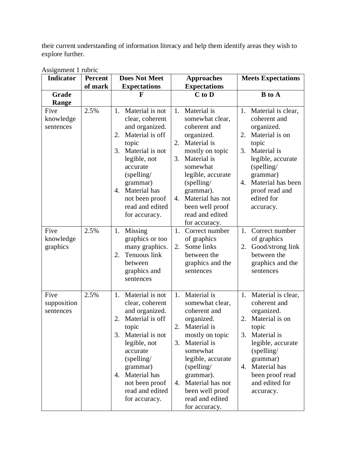their current understanding of information literacy and help them identify areas they wish to explore further.

| Indicator                        | <b>Percent</b> | <b>Does Not Meet</b>                                                                                                                                                                                                                              | <b>Approaches</b>                                                                                                                                                                                                                                                            | <b>Meets Expectations</b>                                                                                                                                                                                                           |  |
|----------------------------------|----------------|---------------------------------------------------------------------------------------------------------------------------------------------------------------------------------------------------------------------------------------------------|------------------------------------------------------------------------------------------------------------------------------------------------------------------------------------------------------------------------------------------------------------------------------|-------------------------------------------------------------------------------------------------------------------------------------------------------------------------------------------------------------------------------------|--|
|                                  | of mark        | <b>Expectations</b>                                                                                                                                                                                                                               | <b>Expectations</b>                                                                                                                                                                                                                                                          |                                                                                                                                                                                                                                     |  |
| Grade                            |                | $\mathbf F$                                                                                                                                                                                                                                       | $C$ to $D$                                                                                                                                                                                                                                                                   | <b>B</b> to A                                                                                                                                                                                                                       |  |
| Range                            |                |                                                                                                                                                                                                                                                   |                                                                                                                                                                                                                                                                              |                                                                                                                                                                                                                                     |  |
| Five<br>knowledge<br>sentences   | 2.5%           | Material is not<br>1.<br>clear, coherent<br>and organized.<br>Material is off<br>2.<br>topic<br>Material is not<br>3.<br>legible, not<br>accurate<br>$(s$ pelling/<br>grammar)<br>4. Material has<br>not been proof<br>read and edited            | Material is<br>1.<br>somewhat clear,<br>coherent and<br>organized.<br>Material is<br>2.<br>mostly on topic<br>3.<br>Material is<br>somewhat<br>legible, accurate<br>$(s$ pelling/<br>grammar).<br>Material has not<br>4.<br>been well proof                                  | 1. Material is clear,<br>coherent and<br>organized.<br>Material is on<br>2.<br>topic<br>Material is<br>3.<br>legible, accurate<br>$(s$ pelling/<br>grammar)<br>Material has been<br>4.<br>proof read and<br>edited for<br>accuracy. |  |
| Five<br>knowledge<br>graphics    | 2.5%           | for accuracy.<br>Missing<br>1.<br>graphics or too<br>many graphics.<br>Tenuous link<br>2.<br>between<br>graphics and<br>sentences                                                                                                                 | read and edited<br>for accuracy.<br>1.<br>Correct number<br>of graphics<br>Some links<br>2.<br>between the<br>graphics and the<br>sentences                                                                                                                                  | Correct number<br>1.<br>of graphics<br>Good/strong link<br>2.<br>between the<br>graphics and the<br>sentences                                                                                                                       |  |
| Five<br>supposition<br>sentences | 2.5%           | 1. Material is not<br>clear, coherent<br>and organized.<br>Material is off<br>2.<br>topic<br>3. Material is not<br>legible, not<br>accurate<br>$(s$ pelling/<br>grammar)<br>4. Material has<br>not been proof<br>read and edited<br>for accuracy. | 1. Material is<br>somewhat clear,<br>coherent and<br>organized.<br>Material is<br>2.<br>mostly on topic<br>Material is<br>3.<br>somewhat<br>legible, accurate<br>$(s$ pelling/<br>grammar).<br>Material has not<br>4.<br>been well proof<br>read and edited<br>for accuracy. | 1. Material is clear,<br>coherent and<br>organized.<br>Material is on<br>2.<br>topic<br>Material is<br>3.<br>legible, accurate<br>$(s$ pelling/<br>grammar)<br>Material has<br>4.<br>been proof read<br>and edited for<br>accuracy. |  |

| Assignment 1 rubric |  |
|---------------------|--|
|---------------------|--|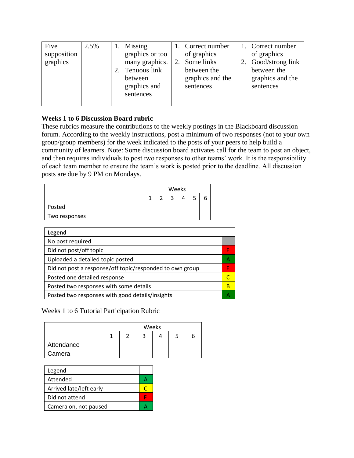| Five<br>supposition<br>graphics | 2.5% | Missing<br>graphics or too<br>many graphics.<br>2. Tenuous link<br>between<br>graphics and<br>sentences | 1. Correct number<br>of graphics<br>Some links<br>between the<br>graphics and the<br>sentences | 1. Correct number<br>of graphics<br>2. Good/strong link<br>between the<br>graphics and the<br>sentences |
|---------------------------------|------|---------------------------------------------------------------------------------------------------------|------------------------------------------------------------------------------------------------|---------------------------------------------------------------------------------------------------------|
|                                 |      |                                                                                                         |                                                                                                |                                                                                                         |

## **Weeks 1 to 6 Discussion Board rubric**

These rubrics measure the contributions to the weekly postings in the Blackboard discussion forum. According to the weekly instructions, post a minimum of two responses (not to your own group/group members) for the week indicated to the posts of your peers to help build a community of learners. Note: Some discussion board activates call for the team to post an object, and then requires individuals to post two responses to other teams' work. It is the responsibility of each team member to ensure the team's work is posted prior to the deadline. All discussion posts are due by 9 PM on Mondays.

|               | Weeks |  |   |  |  |  |  |
|---------------|-------|--|---|--|--|--|--|
|               |       |  | ◠ |  |  |  |  |
| Posted        |       |  |   |  |  |  |  |
| Two responses |       |  |   |  |  |  |  |

| Legend                                                   |   |
|----------------------------------------------------------|---|
| No post required                                         |   |
| Did not post/off topic                                   |   |
| Uploaded a detailed topic posted                         | А |
| Did not post a response/off topic/responded to own group | Е |
| Posted one detailed response                             |   |
| Posted two responses with some details                   | B |
| Posted two responses with good details/insights          |   |
|                                                          |   |

Weeks 1 to 6 Tutorial Participation Rubric

|            | Weeks |  |  |  |  |  |  |  |
|------------|-------|--|--|--|--|--|--|--|
|            |       |  |  |  |  |  |  |  |
| Attendance |       |  |  |  |  |  |  |  |
| Camera     |       |  |  |  |  |  |  |  |

| Legend                  |   |
|-------------------------|---|
| Attended                |   |
| Arrived late/left early | ┌ |
| Did not attend          |   |
| Camera on, not paused   |   |
|                         |   |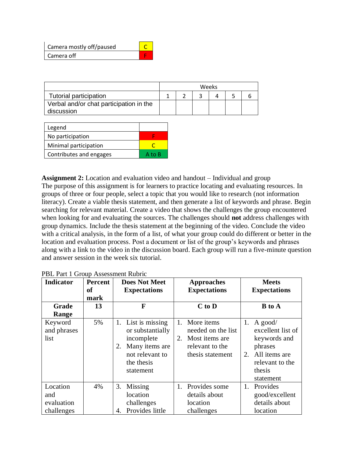| Camera mostly off/paused |  |
|--------------------------|--|
| Camera off               |  |

|                                         | Weeks |  |  |  |  |
|-----------------------------------------|-------|--|--|--|--|
| Tutorial participation                  |       |  |  |  |  |
| Verbal and/or chat participation in the |       |  |  |  |  |
| discussion                              |       |  |  |  |  |

| Legend                  |        |
|-------------------------|--------|
| No participation        |        |
| Minimal participation   |        |
| Contributes and engages | A to B |

**Assignment 2:** Location and evaluation video and handout – Individual and group The purpose of this assignment is for learners to practice locating and evaluating resources. In groups of three or four people, select a topic that you would like to research (not information literacy). Create a viable thesis statement, and then generate a list of keywords and phrase. Begin searching for relevant material. Create a video that shows the challenges the group encountered when looking for and evaluating the sources. The challenges should **not** address challenges with group dynamics. Include the thesis statement at the beginning of the video. Conclude the video with a critical analysis, in the form of a list, of what your group could do different or better in the location and evaluation process. Post a document or list of the group's keywords and phrases along with a link to the video in the discussion board. Each group will run a five-minute question and answer session in the week six tutorial.

| Indicator                                   | <b>Percent</b><br><sub>of</sub> | <b>Does Not Meet</b><br><b>Approaches</b><br><b>Expectations</b><br><b>Expectations</b>                                       |                                                                                                       | <b>Meets</b><br><b>Expectations</b>                                                                                            |  |
|---------------------------------------------|---------------------------------|-------------------------------------------------------------------------------------------------------------------------------|-------------------------------------------------------------------------------------------------------|--------------------------------------------------------------------------------------------------------------------------------|--|
|                                             | mark                            |                                                                                                                               |                                                                                                       |                                                                                                                                |  |
| Grade                                       | 13                              | F                                                                                                                             | $C$ to $D$                                                                                            | <b>B</b> to A                                                                                                                  |  |
| Range                                       |                                 |                                                                                                                               |                                                                                                       |                                                                                                                                |  |
| Keyword<br>and phrases<br>list              | 5%                              | List is missing<br>1.<br>or substantially<br>incomplete<br>Many items are<br>2.<br>not relevant to<br>the thesis<br>statement | More items<br>1.<br>needed on the list<br>2.<br>Most items are<br>relevant to the<br>thesis statement | 1.<br>A good/<br>excellent list of<br>keywords and<br>phrases<br>All items are<br>2.<br>relevant to the<br>thesis<br>statement |  |
| Location<br>and<br>evaluation<br>challenges | 4%                              | 3.<br>Missing<br>location<br>challenges<br>Provides little<br>4.                                                              | 1. Provides some<br>details about<br>location<br>challenges                                           | Provides<br>1.<br>good/excellent<br>details about<br>location                                                                  |  |

PBL Part 1 Group Assessment Rubric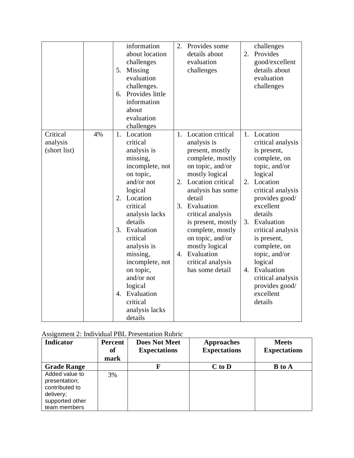|                                      |    | 5.<br>6.             | information<br>about location<br>challenges<br>Missing<br>evaluation<br>challenges.<br>Provides little<br>information<br>about<br>evaluation<br>challenges                                                                                                                                                                         | 2.                                 | Provides some<br>details about<br>evaluation<br>challenges                                                                                                                                                                                                                                                                                 | 2.                   | challenges<br>Provides<br>good/excellent<br>details about<br>evaluation<br>challenges                                                                                                                                                                                                                                                          |
|--------------------------------------|----|----------------------|------------------------------------------------------------------------------------------------------------------------------------------------------------------------------------------------------------------------------------------------------------------------------------------------------------------------------------|------------------------------------|--------------------------------------------------------------------------------------------------------------------------------------------------------------------------------------------------------------------------------------------------------------------------------------------------------------------------------------------|----------------------|------------------------------------------------------------------------------------------------------------------------------------------------------------------------------------------------------------------------------------------------------------------------------------------------------------------------------------------------|
| Critical<br>analysis<br>(short list) | 4% | 1.<br>2.<br>3.<br>4. | Location<br>critical<br>analysis is<br>missing,<br>incomplete, not<br>on topic,<br>and/or not<br>logical<br>Location<br>critical<br>analysis lacks<br>details<br>Evaluation<br>critical<br>analysis is<br>missing,<br>incomplete, not<br>on topic,<br>and/or not<br>logical<br>Evaluation<br>critical<br>analysis lacks<br>details | 1.<br>2.<br>3.<br>$\overline{4}$ . | Location critical<br>analysis is<br>present, mostly<br>complete, mostly<br>on topic, and/or<br>mostly logical<br>Location critical<br>analysis has some<br>detail<br>Evaluation<br>critical analysis<br>is present, mostly<br>complete, mostly<br>on topic, and/or<br>mostly logical<br>Evaluation<br>critical analysis<br>has some detail | 1.<br>2.<br>3.<br>4. | Location<br>critical analysis<br>is present,<br>complete, on<br>topic, and/or<br>logical<br>Location<br>critical analysis<br>provides good/<br>excellent<br>details<br>Evaluation<br>critical analysis<br>is present,<br>complete, on<br>topic, and/or<br>logical<br>Evaluation<br>critical analysis<br>provides good/<br>excellent<br>details |

|  | <b>Assignment 2: Individual PBL Presentation Rubric</b> |
|--|---------------------------------------------------------|
|--|---------------------------------------------------------|

| <b>Indicator</b>                                                                                  | Percent<br><b>of</b><br>mark | <b>Does Not Meet</b><br><b>Expectations</b> | <b>Approaches</b><br><b>Expectations</b> | <b>Meets</b><br><b>Expectations</b> |
|---------------------------------------------------------------------------------------------------|------------------------------|---------------------------------------------|------------------------------------------|-------------------------------------|
| <b>Grade Range</b>                                                                                |                              |                                             | $C$ to $D$                               | <b>B</b> to A                       |
| Added value to<br>presentation;<br>contributed to<br>delivery;<br>supported other<br>team members | 3%                           |                                             |                                          |                                     |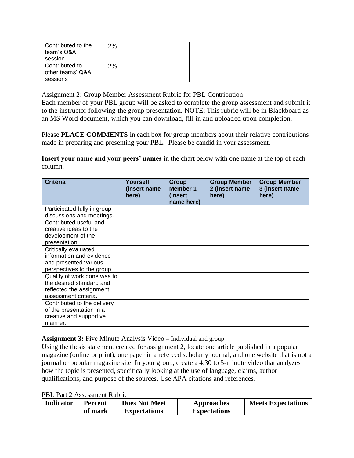| Contributed to the<br>team's Q&A<br>session    | 2% |  |  |
|------------------------------------------------|----|--|--|
| Contributed to<br>other teams' Q&A<br>sessions | 2% |  |  |

Assignment 2: Group Member Assessment Rubric for PBL Contribution

Each member of your PBL group will be asked to complete the group assessment and submit it to the instructor following the group presentation. NOTE: This rubric will be in Blackboard as an MS Word document, which you can download, fill in and uploaded upon completion.

Please **PLACE COMMENTS** in each box for group members about their relative contributions made in preparing and presenting your PBL. Please be candid in your assessment.

**Insert your name and your peers' names** in the chart below with one name at the top of each column.

| <b>Criteria</b>             | Yourself<br>(insert name)<br>here) | Group<br><b>Member 1</b><br>(insert<br>name here) | <b>Group Member</b><br>2 (insert name<br>here) | <b>Group Member</b><br>3 (insert name<br>here) |
|-----------------------------|------------------------------------|---------------------------------------------------|------------------------------------------------|------------------------------------------------|
| Participated fully in group |                                    |                                                   |                                                |                                                |
| discussions and meetings.   |                                    |                                                   |                                                |                                                |
| Contributed useful and      |                                    |                                                   |                                                |                                                |
| creative ideas to the       |                                    |                                                   |                                                |                                                |
| development of the          |                                    |                                                   |                                                |                                                |
| presentation.               |                                    |                                                   |                                                |                                                |
| Critically evaluated        |                                    |                                                   |                                                |                                                |
| information and evidence    |                                    |                                                   |                                                |                                                |
| and presented various       |                                    |                                                   |                                                |                                                |
| perspectives to the group.  |                                    |                                                   |                                                |                                                |
| Quality of work done was to |                                    |                                                   |                                                |                                                |
| the desired standard and    |                                    |                                                   |                                                |                                                |
| reflected the assignment    |                                    |                                                   |                                                |                                                |
| assessment criteria.        |                                    |                                                   |                                                |                                                |
| Contributed to the delivery |                                    |                                                   |                                                |                                                |
| of the presentation in a    |                                    |                                                   |                                                |                                                |
| creative and supportive     |                                    |                                                   |                                                |                                                |
| manner.                     |                                    |                                                   |                                                |                                                |

**Assignment 3:** Five Minute Analysis Video – Individual and group

Using the thesis statement created for assignment 2, locate one article published in a popular magazine (online or print), one paper in a refereed scholarly journal, and one website that is not a journal or popular magazine site. In your group, create a 4:30 to 5-minute video that analyzes how the topic is presented, specifically looking at the use of language, claims, author qualifications, and purpose of the sources. Use APA citations and references.

PBL Part 2 Assessment Rubric

| Indicator | Percent | <b>Does Not Meet</b> | Approaches          | <b>Meets Expectations</b> |
|-----------|---------|----------------------|---------------------|---------------------------|
|           | of mark | <b>Expectations</b>  | <b>Expectations</b> |                           |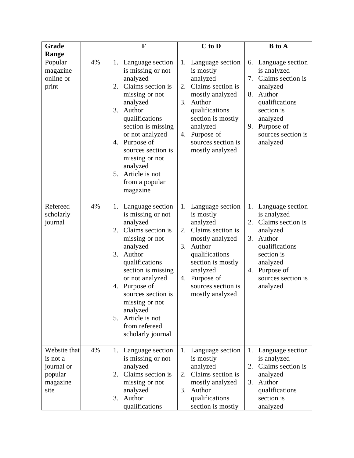| Grade                                                                 |    | F                                                                                                                                                                                                                                                                                                                                 | $C$ to $D$                                                                                                                                                                                                                    | <b>B</b> to A                                                                                                                                                                                  |
|-----------------------------------------------------------------------|----|-----------------------------------------------------------------------------------------------------------------------------------------------------------------------------------------------------------------------------------------------------------------------------------------------------------------------------------|-------------------------------------------------------------------------------------------------------------------------------------------------------------------------------------------------------------------------------|------------------------------------------------------------------------------------------------------------------------------------------------------------------------------------------------|
| Range<br>Popular<br>$magazine -$<br>online or<br>print                | 4% | 1. Language section<br>is missing or not<br>analyzed<br>Claims section is<br>2.<br>missing or not<br>analyzed<br>3.<br>Author<br>qualifications<br>section is missing<br>or not analyzed<br>4. Purpose of<br>sources section is<br>missing or not<br>analyzed<br>5. Article is not<br>from a popular<br>magazine                  | 1.<br>Language section<br>is mostly<br>analyzed<br>Claims section is<br>2.<br>mostly analyzed<br>3.<br>Author<br>qualifications<br>section is mostly<br>analyzed<br>Purpose of<br>4.<br>sources section is<br>mostly analyzed | 6. Language section<br>is analyzed<br>Claims section is<br>7.<br>analyzed<br>Author<br>8.<br>qualifications<br>section is<br>analyzed<br>Purpose of<br>9.<br>sources section is<br>analyzed    |
| Refereed<br>scholarly<br>journal                                      | 4% | Language section<br>1.<br>is missing or not<br>analyzed<br>Claims section is<br>2.<br>missing or not<br>analyzed<br>3.<br>Author<br>qualifications<br>section is missing<br>or not analyzed<br>Purpose of<br>4.<br>sources section is<br>missing or not<br>analyzed<br>Article is not<br>5.<br>from refereed<br>scholarly journal | Language section<br>1.<br>is mostly<br>analyzed<br>Claims section is<br>2.<br>mostly analyzed<br>3.<br>Author<br>qualifications<br>section is mostly<br>analyzed<br>Purpose of<br>4.<br>sources section is<br>mostly analyzed | Language section<br>1.<br>is analyzed<br>Claims section is<br>2.<br>analyzed<br>Author<br>3.<br>qualifications<br>section is<br>analyzed<br>Purpose of<br>4.<br>sources section is<br>analyzed |
| Website that<br>is not a<br>journal or<br>popular<br>magazine<br>site | 4% | Language section<br>1.<br>is missing or not<br>analyzed<br>Claims section is<br>2.<br>missing or not<br>analyzed<br>Author<br>3.<br>qualifications                                                                                                                                                                                | Language section<br>1.<br>is mostly<br>analyzed<br>Claims section is<br>2.<br>mostly analyzed<br>3. Author<br>qualifications<br>section is mostly                                                                             | 1. Language section<br>is analyzed<br>Claims section is<br>2.<br>analyzed<br>Author<br>3.<br>qualifications<br>section is<br>analyzed                                                          |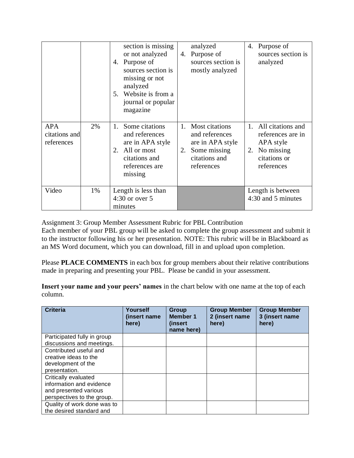|                                           |    | section is missing<br>or not analyzed<br>Purpose of<br>4.<br>sources section is<br>missing or not<br>analyzed<br>5. Website is from a<br>journal or popular<br>magazine | analyzed<br>4. Purpose of<br>sources section is<br>mostly analyzed                                                     | Purpose of<br>4.<br>sources section is<br>analyzed                                                          |
|-------------------------------------------|----|-------------------------------------------------------------------------------------------------------------------------------------------------------------------------|------------------------------------------------------------------------------------------------------------------------|-------------------------------------------------------------------------------------------------------------|
| <b>APA</b><br>citations and<br>references | 2% | Some citations<br>1.<br>and references<br>are in APA style<br>All or most<br>2.<br>citations and<br>references are<br>missing                                           | <b>Most citations</b><br>1.<br>and references<br>are in APA style<br>Some missing<br>2.<br>citations and<br>references | All citations and<br>1.<br>references are in<br>APA style<br>No missing<br>2.<br>citations or<br>references |
| Video                                     | 1% | Length is less than<br>$4:30$ or over $5$<br>minutes                                                                                                                    |                                                                                                                        | Length is between<br>4:30 and 5 minutes                                                                     |

Assignment 3: Group Member Assessment Rubric for PBL Contribution

Each member of your PBL group will be asked to complete the group assessment and submit it to the instructor following his or her presentation. NOTE: This rubric will be in Blackboard as an MS Word document, which you can download, fill in and upload upon completion.

Please **PLACE COMMENTS** in each box for group members about their relative contributions made in preparing and presenting your PBL. Please be candid in your assessment.

**Insert your name and your peers' names** in the chart below with one name at the top of each column.

| <b>Criteria</b>             | Yourself<br>(insert name)<br>here) | Group<br><b>Member 1</b><br>(insert<br>name here) | <b>Group Member</b><br>2 (insert name<br>here) | <b>Group Member</b><br>3 (insert name<br>here) |
|-----------------------------|------------------------------------|---------------------------------------------------|------------------------------------------------|------------------------------------------------|
| Participated fully in group |                                    |                                                   |                                                |                                                |
| discussions and meetings.   |                                    |                                                   |                                                |                                                |
| Contributed useful and      |                                    |                                                   |                                                |                                                |
| creative ideas to the       |                                    |                                                   |                                                |                                                |
| development of the          |                                    |                                                   |                                                |                                                |
| presentation.               |                                    |                                                   |                                                |                                                |
| Critically evaluated        |                                    |                                                   |                                                |                                                |
| information and evidence    |                                    |                                                   |                                                |                                                |
| and presented various       |                                    |                                                   |                                                |                                                |
| perspectives to the group.  |                                    |                                                   |                                                |                                                |
| Quality of work done was to |                                    |                                                   |                                                |                                                |
| the desired standard and    |                                    |                                                   |                                                |                                                |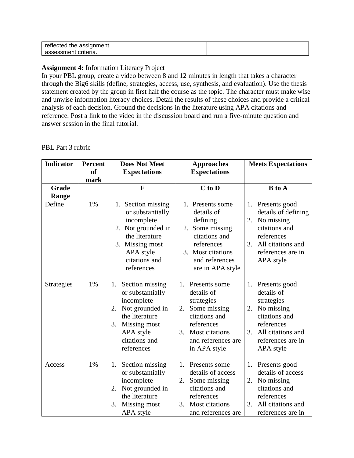| reflected the assignment |  |  |
|--------------------------|--|--|
| assessment criteria      |  |  |

#### **Assignment 4:** Information Literacy Project

In your PBL group, create a video between 8 and 12 minutes in length that takes a character through the Big6 skills (define, strategies, access, use, synthesis, and evaluation). Use the thesis statement created by the group in first half the course as the topic. The character must make wise and unwise information literacy choices. Detail the results of these choices and provide a critical analysis of each decision. Ground the decisions in the literature using APA citations and reference. Post a link to the video in the discussion board and run a five-minute question and answer session in the final tutorial.

#### PBL Part 3 rubric

| <b>Indicator</b>      | <b>Percent</b><br><b>of</b><br>mark | <b>Does Not Meet</b><br><b>Expectations</b>                                                                                                                          | <b>Approaches</b><br><b>Expectations</b>                                                                                                                           | <b>Meets Expectations</b>                                                                                                                                    |
|-----------------------|-------------------------------------|----------------------------------------------------------------------------------------------------------------------------------------------------------------------|--------------------------------------------------------------------------------------------------------------------------------------------------------------------|--------------------------------------------------------------------------------------------------------------------------------------------------------------|
| <b>Grade</b><br>Range |                                     | F                                                                                                                                                                    | $C$ to $D$                                                                                                                                                         | $B$ to $A$                                                                                                                                                   |
| Define                | 1%                                  | 1. Section missing<br>or substantially<br>incomplete<br>2. Not grounded in<br>the literature<br>3. Missing most<br>APA style<br>citations and<br>references          | 1. Presents some<br>details of<br>defining<br>Some missing<br>2.<br>citations and<br>references<br>3. Most citations<br>and references<br>are in APA style         | 1. Presents good<br>details of defining<br>No missing<br>2.<br>citations and<br>references<br>3.<br>All citations and<br>references are in<br>APA style      |
| Strategies            | 1%                                  | Section missing<br>1.<br>or substantially<br>incomplete<br>Not grounded in<br>2.<br>the literature<br>Missing most<br>3.<br>APA style<br>citations and<br>references | 1.<br>Presents some<br>details of<br>strategies<br>Some missing<br>2.<br>citations and<br>references<br>Most citations<br>3.<br>and references are<br>in APA style | 1. Presents good<br>details of<br>strategies<br>No missing<br>2.<br>citations and<br>references<br>All citations and<br>3.<br>references are in<br>APA style |
| Access                | 1%                                  | Section missing<br>1.<br>or substantially<br>incomplete<br>Not grounded in<br>2.<br>the literature<br>3.<br>Missing most<br>APA style                                | 1.<br>Presents some<br>details of access<br>Some missing<br>2.<br>citations and<br>references<br>Most citations<br>3.<br>and references are                        | Presents good<br>1.<br>details of access<br>No missing<br>2.<br>citations and<br>references<br>All citations and<br>3.<br>references are in                  |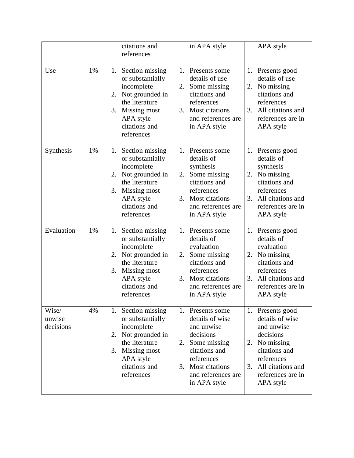|                              |    | citations and<br>references                                                                                                                                          | in APA style                                                                                                                                                                         | APA style                                                                                                                                                                           |
|------------------------------|----|----------------------------------------------------------------------------------------------------------------------------------------------------------------------|--------------------------------------------------------------------------------------------------------------------------------------------------------------------------------------|-------------------------------------------------------------------------------------------------------------------------------------------------------------------------------------|
| Use                          | 1% | Section missing<br>1.<br>or substantially<br>incomplete<br>Not grounded in<br>2.<br>the literature<br>Missing most<br>3.<br>APA style<br>citations and<br>references | Presents some<br>1.<br>details of use<br>2.<br>Some missing<br>citations and<br>references<br>Most citations<br>3.<br>and references are<br>in APA style                             | 1. Presents good<br>details of use<br>2. No missing<br>citations and<br>references<br>All citations and<br>3.<br>references are in<br>APA style                                     |
| Synthesis                    | 1% | Section missing<br>1.<br>or substantially<br>incomplete<br>Not grounded in<br>2.<br>the literature<br>Missing most<br>3.<br>APA style<br>citations and<br>references | 1.<br>Presents some<br>details of<br>synthesis<br>2.<br>Some missing<br>citations and<br>references<br>Most citations<br>3.<br>and references are<br>in APA style                    | 1. Presents good<br>details of<br>synthesis<br>No missing<br>2.<br>citations and<br>references<br>All citations and<br>3.<br>references are in<br>APA style                         |
| Evaluation                   | 1% | Section missing<br>1.<br>or substantially<br>incomplete<br>Not grounded in<br>2.<br>the literature<br>3.<br>Missing most<br>APA style<br>citations and<br>references | 1.<br>Presents some<br>details of<br>evaluation<br>Some missing<br>2.<br>citations and<br>references<br>Most citations<br>3.<br>and references are<br>in APA style                   | 1. Presents good<br>details of<br>evaluation<br>2. No missing<br>citations and<br>references<br>3.<br>All citations and<br>references are in<br>APA style                           |
| Wise/<br>unwise<br>decisions | 4% | Section missing<br>1.<br>or substantially<br>incomplete<br>Not grounded in<br>2.<br>the literature<br>Missing most<br>3.<br>APA style<br>citations and<br>references | 1.<br>Presents some<br>details of wise<br>and unwise<br>decisions<br>Some missing<br>2.<br>citations and<br>references<br>Most citations<br>3.<br>and references are<br>in APA style | 1. Presents good<br>details of wise<br>and unwise<br>decisions<br>No missing<br>2.<br>citations and<br>references<br>All citations and<br>$3_{-}$<br>references are in<br>APA style |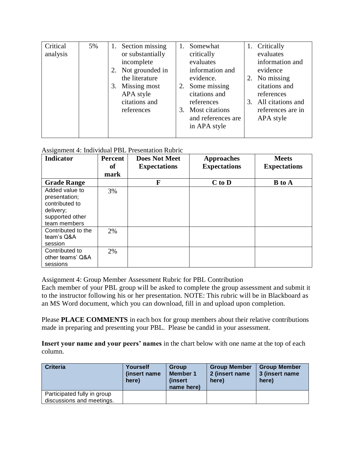| Critical<br>analysis | 5% | Section missing<br>1.<br>or substantially<br>incomplete<br>Not grounded in<br>the literature<br>Missing most<br>3.<br>APA style<br>citations and<br>references | Somewhat<br>critically<br>evaluates<br>information and<br>evidence.<br>Some missing<br>2.<br>citations and<br>references<br>3. Most citations<br>and references are<br>in APA style | 1. Critically<br>evaluates<br>information and<br>evidence<br>2. No missing<br>citations and<br>references<br>3. All citations and<br>references are in<br>APA style |
|----------------------|----|----------------------------------------------------------------------------------------------------------------------------------------------------------------|-------------------------------------------------------------------------------------------------------------------------------------------------------------------------------------|---------------------------------------------------------------------------------------------------------------------------------------------------------------------|
|----------------------|----|----------------------------------------------------------------------------------------------------------------------------------------------------------------|-------------------------------------------------------------------------------------------------------------------------------------------------------------------------------------|---------------------------------------------------------------------------------------------------------------------------------------------------------------------|

# Assignment 4: Individual PBL Presentation Rubric

| $\sqrt{2}$<br>Indicator                                                                           | Percent<br>of<br>mark | <b>Does Not Meet</b><br><b>Expectations</b> | <b>Approaches</b><br><b>Expectations</b> | <b>Meets</b><br><b>Expectations</b> |
|---------------------------------------------------------------------------------------------------|-----------------------|---------------------------------------------|------------------------------------------|-------------------------------------|
| <b>Grade Range</b>                                                                                |                       | F                                           | $C$ to $D$                               | <b>B</b> to A                       |
| Added value to<br>presentation;<br>contributed to<br>delivery;<br>supported other<br>team members | 3%                    |                                             |                                          |                                     |
| Contributed to the<br>team's Q&A<br>session                                                       | 2%                    |                                             |                                          |                                     |
| Contributed to<br>other teams' Q&A<br>sessions                                                    | 2%                    |                                             |                                          |                                     |

Assignment 4: Group Member Assessment Rubric for PBL Contribution

Each member of your PBL group will be asked to complete the group assessment and submit it to the instructor following his or her presentation. NOTE: This rubric will be in Blackboard as an MS Word document, which you can download, fill in and upload upon completion.

Please **PLACE COMMENTS** in each box for group members about their relative contributions made in preparing and presenting your PBL. Please be candid in your assessment.

**Insert your name and your peers' names** in the chart below with one name at the top of each column.

| <b>Criteria</b>                                          | Yourself<br>(insert name)<br>here) | Group<br><b>Member 1</b><br><i>l</i> insert<br>name here) | <b>Group Member</b><br>2 (insert name<br>here) | <b>Group Member</b><br>3 (insert name)<br>here) |
|----------------------------------------------------------|------------------------------------|-----------------------------------------------------------|------------------------------------------------|-------------------------------------------------|
| Participated fully in group<br>discussions and meetings. |                                    |                                                           |                                                |                                                 |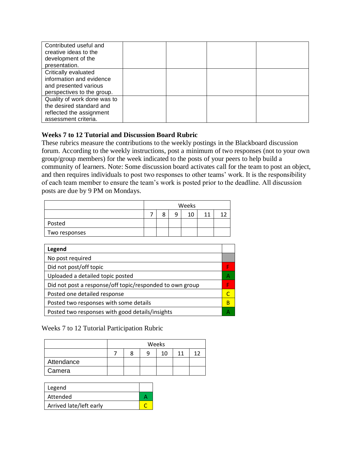| Contributed useful and      |  |  |
|-----------------------------|--|--|
| creative ideas to the       |  |  |
| development of the          |  |  |
| presentation.               |  |  |
| Critically evaluated        |  |  |
| information and evidence    |  |  |
| and presented various       |  |  |
| perspectives to the group.  |  |  |
| Quality of work done was to |  |  |
| the desired standard and    |  |  |
| reflected the assignment    |  |  |
| assessment criteria.        |  |  |

## **Weeks 7 to 12 Tutorial and Discussion Board Rubric**

These rubrics measure the contributions to the weekly postings in the Blackboard discussion forum. According to the weekly instructions, post a minimum of two responses (not to your own group/group members) for the week indicated to the posts of your peers to help build a community of learners. Note: Some discussion board activates call for the team to post an object, and then requires individuals to post two responses to other teams' work. It is the responsibility of each team member to ensure the team's work is posted prior to the deadline. All discussion posts are due by 9 PM on Mondays.

|               | Weeks |   |  |    |    |  |
|---------------|-------|---|--|----|----|--|
|               |       | 8 |  | 10 | 11 |  |
| Posted        |       |   |  |    |    |  |
| Two responses |       |   |  |    |    |  |

| А |
|---|
|   |
|   |
| B |
| А |
|   |

Weeks 7 to 12 Tutorial Participation Rubric

|            | Weeks |  |   |    |    |  |
|------------|-------|--|---|----|----|--|
|            |       |  | a | 10 | 11 |  |
| Attendance |       |  |   |    |    |  |
| Camera     |       |  |   |    |    |  |

| Legend                  |  |
|-------------------------|--|
| Attended                |  |
| Arrived late/left early |  |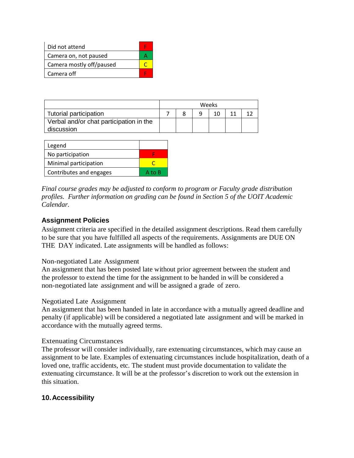| Did not attend           |  |
|--------------------------|--|
| Camera on, not paused    |  |
| Camera mostly off/paused |  |
| Camera off               |  |

|                                         | Weeks |  |   |  |  |  |
|-----------------------------------------|-------|--|---|--|--|--|
| Tutorial participation                  |       |  | a |  |  |  |
| Verbal and/or chat participation in the |       |  |   |  |  |  |
| discussion                              |       |  |   |  |  |  |

| Legend                  |        |
|-------------------------|--------|
| No participation        |        |
| Minimal participation   |        |
| Contributes and engages | A to B |

*Final course grades may be adjusted to conform to program or Faculty grade distribution profiles. Further information on grading can be found in Section 5 of the UOIT Academic Calendar.* 

## **Assignment Policies**

Assignment criteria are specified in the detailed assignment descriptions. Read them carefully to be sure that you have fulfilled all aspects of the requirements. Assignments are DUE ON THE DAY indicated. Late assignments will be handled as follows:

#### Non-negotiated Late Assignment

An assignment that has been posted late without prior agreement between the student and the professor to extend the time for the assignment to be handed in will be considered a non-negotiated late assignment and will be assigned a grade of zero.

#### Negotiated Late Assignment

An assignment that has been handed in late in accordance with a mutually agreed deadline and penalty (if applicable) will be considered a negotiated late assignment and will be marked in accordance with the mutually agreed terms.

#### Extenuating Circumstances

The professor will consider individually, rare extenuating circumstances, which may cause an assignment to be late. Examples of extenuating circumstances include hospitalization, death of a loved one, traffic accidents, etc. The student must provide documentation to validate the extenuating circumstance. It will be at the professor's discretion to work out the extension in this situation.

## **10.Accessibility**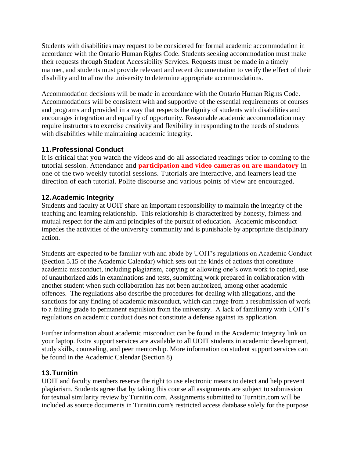Students with disabilities may request to be considered for formal academic accommodation in accordance with the Ontario Human Rights Code. Students seeking accommodation must make their requests through Student Accessibility Services. Requests must be made in a timely manner, and students must provide relevant and recent documentation to verify the effect of their disability and to allow the university to determine appropriate accommodations.

Accommodation decisions will be made in accordance with the Ontario Human Rights Code. Accommodations will be consistent with and supportive of the essential requirements of courses and programs and provided in a way that respects the dignity of students with disabilities and encourages integration and equality of opportunity. Reasonable academic accommodation may require instructors to exercise creativity and flexibility in responding to the needs of students with disabilities while maintaining academic integrity.

# **11.Professional Conduct**

It is critical that you watch the videos and do all associated readings prior to coming to the tutorial session. Attendance and **participation and video cameras on are mandatory** in one of the two weekly tutorial sessions. Tutorials are interactive, and learners lead the direction of each tutorial. Polite discourse and various points of view are encouraged.

# **12.Academic Integrity**

Students and faculty at UOIT share an important responsibility to maintain the integrity of the teaching and learning relationship. This relationship is characterized by honesty, fairness and mutual respect for the aim and principles of the pursuit of education. Academic misconduct impedes the activities of the university community and is punishable by appropriate disciplinary action.

Students are expected to be familiar with and abide by UOIT's regulations on Academic Conduct (Section 5.15 of the Academic Calendar) which sets out the kinds of actions that constitute academic misconduct, including plagiarism, copying or allowing one's own work to copied, use of unauthorized aids in examinations and tests, submitting work prepared in collaboration with another student when such collaboration has not been authorized, among other academic offences. The regulations also describe the procedures for dealing with allegations, and the sanctions for any finding of academic misconduct, which can range from a resubmission of work to a failing grade to permanent expulsion from the university. A lack of familiarity with UOIT's regulations on academic conduct does not constitute a defense against its application.

Further information about academic misconduct can be found in the Academic Integrity link on your laptop. Extra support services are available to all UOIT students in academic development, study skills, counseling, and peer mentorship. More information on student support services can be found in the Academic Calendar (Section 8).

## **13.Turnitin**

UOIT and faculty members reserve the right to use electronic means to detect and help prevent plagiarism. Students agree that by taking this course all assignments are subject to submission for textual similarity review by Turnitin.com. Assignments submitted to Turnitin.com will be included as source documents in Turnitin.com's restricted access database solely for the purpose